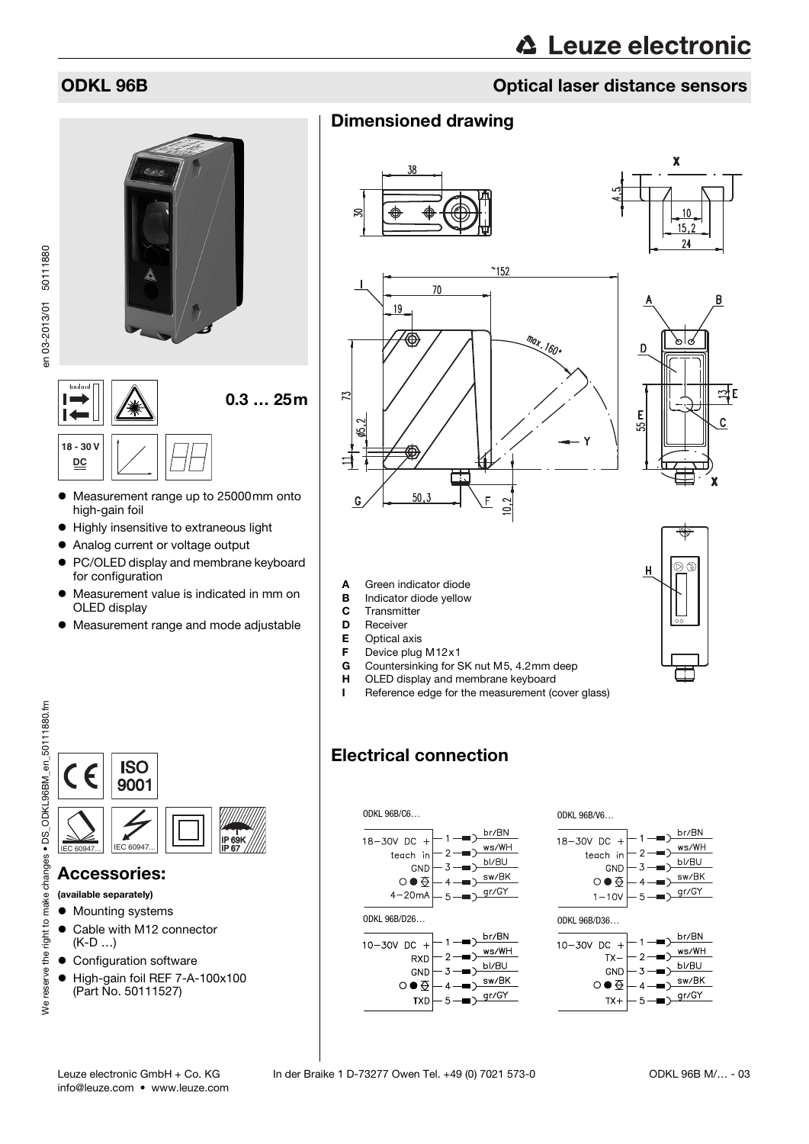## ODKL 96B Optical laser distance sensors









A Green indicator diode

- **B** Indicator diode yellow
- C Transmitter
- D Receiver
- 
- **E** Optical axis<br>**F** Device plug
- **F** Device plug M12 $\times$ 1 Countersinking for SK nut M5, 4.2mm deep
- H OLED display and membrane keyboard
- 
- I Reference edge for the measurement (cover glass)

# Electrical connection



**ISO** 9001  $\sum_{\mathsf{IEC}\,60947\ldots}$  IEC 60947... IIEC 60947...

<u>IP 67</u>

Measurement range up to 25000mm onto

0.3 … 25m

● PC/OLED display and membrane keyboard

Measurement value is indicated in mm on

Measurement range and mode adjustable

 $\bullet$  Highly insensitive to extraneous light • Analog current or voltage output

high-gain foil

**18 - 30 V DC**

 $\overline{1}$ 

en 03-2013/01 50111880

for configuration

OLED display

## Accessories:

(available separately)

- $\bullet$  Mounting systems
- Cable with M12 connector (K-D …)
- Configuration software
- High-gain foil REF 7-A-100x100 (Part No. 50111527)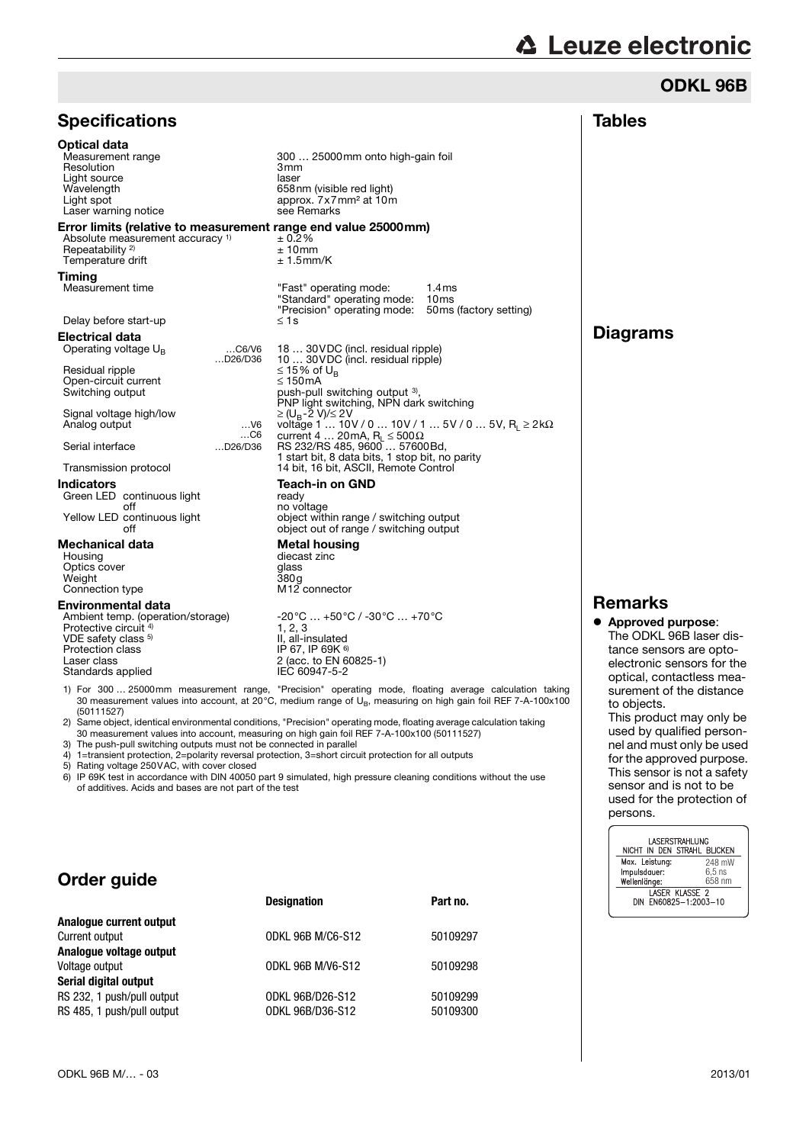# ODKL 96B

| <b>Specifications</b>                                                                                                                                                                                                                                                                                                                                                                                                                                                                                                                                                                                                                                                                                                                                                                                                                                                               |                     |                                                                                                                                                                                                                                                        |                                                                                                                       | <b>Tables</b>                                                                                          |
|-------------------------------------------------------------------------------------------------------------------------------------------------------------------------------------------------------------------------------------------------------------------------------------------------------------------------------------------------------------------------------------------------------------------------------------------------------------------------------------------------------------------------------------------------------------------------------------------------------------------------------------------------------------------------------------------------------------------------------------------------------------------------------------------------------------------------------------------------------------------------------------|---------------------|--------------------------------------------------------------------------------------------------------------------------------------------------------------------------------------------------------------------------------------------------------|-----------------------------------------------------------------------------------------------------------------------|--------------------------------------------------------------------------------------------------------|
| Optical data<br>Measurement range<br>Resolution<br>Light source<br>Wavelength<br>Light spot<br>Laser warning notice                                                                                                                                                                                                                                                                                                                                                                                                                                                                                                                                                                                                                                                                                                                                                                 |                     | 300  25000 mm onto high-gain foil<br>3mm<br>laser<br>658nm (visible red light)<br>approx. 7x7mm <sup>2</sup> at 10m<br>see Remarks                                                                                                                     |                                                                                                                       |                                                                                                        |
| Error limits (relative to measurement range end value 25000 mm)<br>Absolute measurement accuracy <sup>1)</sup><br>Repeatability <sup>2)</sup><br>Temperature drift                                                                                                                                                                                                                                                                                                                                                                                                                                                                                                                                                                                                                                                                                                                  |                     | ± 0.2%<br>±10mm<br>$± 1.5$ mm/K                                                                                                                                                                                                                        |                                                                                                                       |                                                                                                        |
| Timing<br>Measurement time                                                                                                                                                                                                                                                                                                                                                                                                                                                                                                                                                                                                                                                                                                                                                                                                                                                          |                     | "Fast" operating mode:<br>"Standard" operating mode: 10ms<br>"Precision" operating mode: 50ms (factory setting)                                                                                                                                        | 1.4 <sub>ms</sub>                                                                                                     |                                                                                                        |
| Delay before start-up                                                                                                                                                                                                                                                                                                                                                                                                                                                                                                                                                                                                                                                                                                                                                                                                                                                               |                     | ≤ 1 $s$                                                                                                                                                                                                                                                |                                                                                                                       |                                                                                                        |
| Electrical data<br>Operating voltage $U_{B}$                                                                                                                                                                                                                                                                                                                                                                                                                                                                                                                                                                                                                                                                                                                                                                                                                                        | $$ C6/V6<br>D26/D36 | 18  30 VDC (incl. residual ripple)                                                                                                                                                                                                                     |                                                                                                                       | <b>Diagrams</b>                                                                                        |
| Residual ripple<br>Open-circuit current<br>Switching output                                                                                                                                                                                                                                                                                                                                                                                                                                                                                                                                                                                                                                                                                                                                                                                                                         |                     | 10  30 VDC (incl. residual ripple)<br>≤ 15% of U <sub>B</sub><br>≤ 150mA<br>push-pull switching output 3),<br>PNP light switching, NPN dark switching<br>≥ (U <sub>B</sub> -2 V)/≤ 2V<br>voltage 1  10V / 0  10V / 1  5V / 0  5V, R <sub>i</sub> ≥ 2kΩ |                                                                                                                       |                                                                                                        |
| Signal voltage high/low<br>Analog output                                                                                                                                                                                                                                                                                                                                                                                                                                                                                                                                                                                                                                                                                                                                                                                                                                            | V6<br>$$ C6         |                                                                                                                                                                                                                                                        |                                                                                                                       |                                                                                                        |
| Serial interface                                                                                                                                                                                                                                                                                                                                                                                                                                                                                                                                                                                                                                                                                                                                                                                                                                                                    | D26/D36             | current 4  20 mA, $R_1 \le 500 \Omega$<br>RS 232/RS 485, 9600  57600 Bd,<br>1 start bit, 8 data bits, 1 stop bit, no parity                                                                                                                            |                                                                                                                       |                                                                                                        |
| Transmission protocol                                                                                                                                                                                                                                                                                                                                                                                                                                                                                                                                                                                                                                                                                                                                                                                                                                                               |                     | 14 bit, 16 bit, ASCII, Remote Control                                                                                                                                                                                                                  |                                                                                                                       |                                                                                                        |
| <b>Indicators</b><br>Green LED continuous light<br>off<br>Yellow LED continuous light<br>off                                                                                                                                                                                                                                                                                                                                                                                                                                                                                                                                                                                                                                                                                                                                                                                        |                     | Teach-in on GND<br>ready<br>no voltage<br>object within range / switching output<br>object out of range / switching output                                                                                                                             |                                                                                                                       |                                                                                                        |
| Mechanical data<br>Housing<br>Optics cover<br>Weight<br>Connection type                                                                                                                                                                                                                                                                                                                                                                                                                                                                                                                                                                                                                                                                                                                                                                                                             |                     | Metal housing<br>diecast zinc<br>glass<br>380g<br>M <sub>12</sub> connector                                                                                                                                                                            |                                                                                                                       |                                                                                                        |
| <b>Environmental data</b><br>Ambient temp. (operation/storage)<br>Protective circuit <sup>4)</sup><br>VDE safety class <sup>5)</sup><br><b>Protection class</b><br>Laser class<br>Standards applied                                                                                                                                                                                                                                                                                                                                                                                                                                                                                                                                                                                                                                                                                 |                     | -20°C … +50°C / -30°C … +70°C<br>1, 2, 3<br>II, all-insulated<br>IP 67, IP 69K <sup>6)</sup><br>2 (acc. to EN 60825-1)<br>IEC 60947-5-2                                                                                                                |                                                                                                                       | <b>Remarks</b><br>$\bullet$<br>Approved p<br>The ODKL 9<br>tance sensc<br>electronic s<br>optical, con |
| 1) For 300  25000mm measurement range, "Precision" operating mode, floating average calculation taking<br>30 measurement values into account, at 20°C, medium range of U <sub>B</sub> , measuring on high gain foil REF 7-A-100x100<br>(50111527)<br>2) Same object, identical environmental conditions, "Precision" operating mode, floating average calculation taking<br>30 measurement values into account, measuring on high gain foil REF 7-A-100x100 (50111527)<br>3) The push-pull switching outputs must not be connected in parallel<br>4) 1=transient protection, 2=polarity reversal protection, 3=short circuit protection for all outputs<br>5) Rating voltage 250VAC, with cover closed<br>6) IP 69K test in accordance with DIN 40050 part 9 simulated, high pressure cleaning conditions without the use<br>of additives. Acids and bases are not part of the test |                     |                                                                                                                                                                                                                                                        | surement of<br>to objects.<br>This produc<br>used by qua<br>nel and mus<br>for the appre<br>This sensor<br>sensor and |                                                                                                        |

## Order guide

|                            | <b>Designation</b>       | Part no. |
|----------------------------|--------------------------|----------|
| Analogue current output    |                          |          |
| Current output             | ODKL 96B M/C6-S12        | 50109297 |
| Analogue voltage output    |                          |          |
| Voltage output             | <b>ODKL 96B M/V6-S12</b> | 50109298 |
| Serial digital output      |                          |          |
| RS 232, 1 push/pull output | ODKL 96B/D26-S12         | 50109299 |
| RS 485, 1 push/pull output | ODKL 96B/D36-S12         | 50109300 |
|                            |                          |          |

purpose: 96B laser disors are opto $s$ ensors for the ntactless meaof the distance

This product may only be used by qualified personst only be used roved purpose. This sensor is not a safety is not to be used for the protection of persons.

| LASERSTRAHLUNG |                             |  |  |
|----------------|-----------------------------|--|--|
|                | NICHT IN DEN STRAHL BLICKEN |  |  |
| Max. Leistung: | 248 mW                      |  |  |
| Impulsdauer:   | $6.5$ ns                    |  |  |
| Wellenlänge:   | 658 nm                      |  |  |
|                | LASER KLASSE 2              |  |  |
|                | DIN EN60825-1:2003-10       |  |  |
|                |                             |  |  |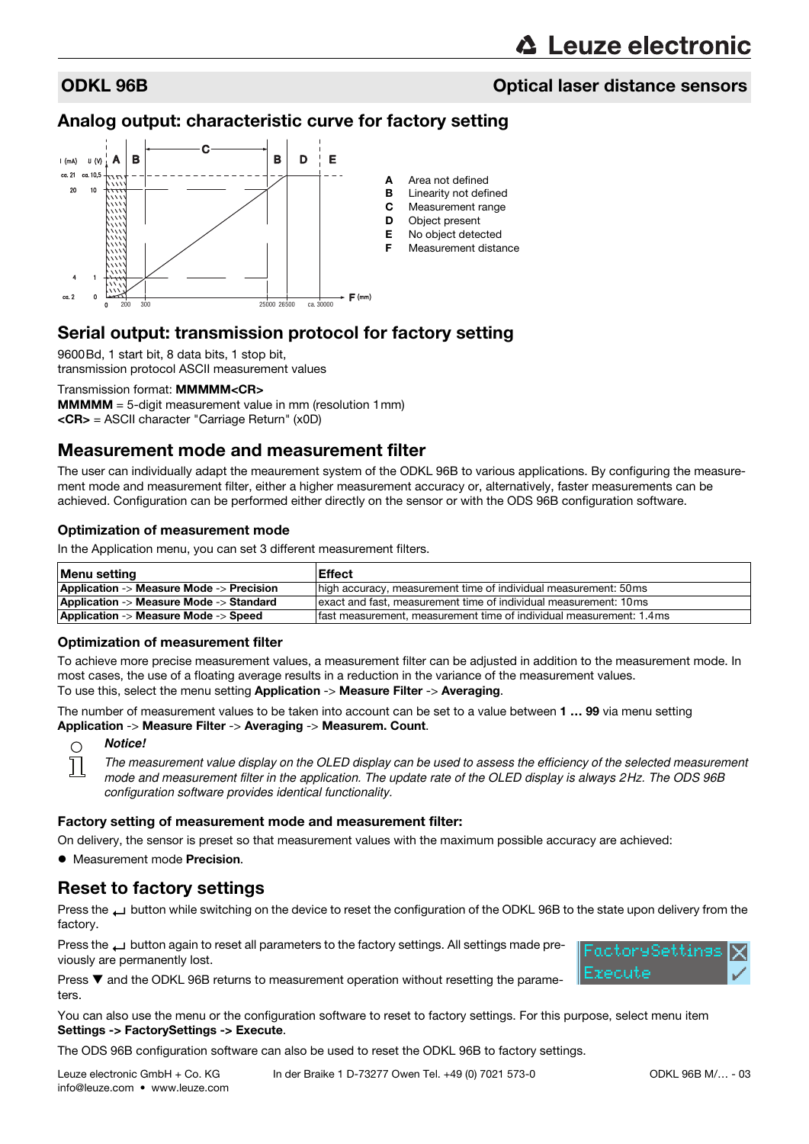## ODKL 96B Optical laser distance sensors

## Analog output: characteristic curve for factory setting



## Serial output: transmission protocol for factory setting

9600Bd, 1 start bit, 8 data bits, 1 stop bit, transmission protocol ASCII measurement values

Transmission format: MMMMM<CR>

MMMMM = 5-digit measurement value in mm (resolution 1mm) <CR> = ASCII character "Carriage Return" (x0D)

## Measurement mode and measurement filter

The user can individually adapt the meaurement system of the ODKL 96B to various applications. By configuring the measurement mode and measurement filter, either a higher measurement accuracy or, alternatively, faster measurements can be achieved. Configuration can be performed either directly on the sensor or with the ODS 96B configuration software.

#### Optimization of measurement mode

In the Application menu, you can set 3 different measurement filters.

| Menu setting                             | <b>Effect</b>                                                       |  |
|------------------------------------------|---------------------------------------------------------------------|--|
| Application -> Measure Mode -> Precision | high accuracy, measurement time of individual measurement: 50ms     |  |
| Application -> Measure Mode -> Standard  | exact and fast, measurement time of individual measurement: 10ms    |  |
| Application -> Measure Mode -> Speed     | fast measurement, measurement time of individual measurement: 1.4ms |  |

#### Optimization of measurement filter

To achieve more precise measurement values, a measurement filter can be adjusted in addition to the measurement mode. In most cases, the use of a floating average results in a reduction in the variance of the measurement values. To use this, select the menu setting Application -> Measure Filter -> Averaging.

The number of measurement values to be taken into account can be set to a value between 1 … 99 via menu setting Application -> Measure Filter -> Averaging -> Measurem. Count.

#### *Notice!*  $\bigcirc$

 $\overline{\phantom{1}}$ 

*The measurement value display on the OLED display can be used to assess the efficiency of the selected measurement mode and measurement filter in the application. The update rate of the OLED display is always 2Hz. The ODS 96B configuration software provides identical functionality.*

#### Factory setting of measurement mode and measurement filter:

On delivery, the sensor is preset so that measurement values with the maximum possible accuracy are achieved:

● Measurement mode Precision.

## Reset to factory settings

Press the button while switching on the device to reset the configuration of the ODKL 96B to the state upon delivery from the factory.

Press the **button again to reset all parameters to the factory settings. All settings made pre**viously are permanently lost.

Press  $\blacktriangledown$  and the ODKL 96B returns to measurement operation without resetting the parameters.

You can also use the menu or the configuration software to reset to factory settings. For this purpose, select menu item Settings -> FactorySettings -> Execute.

The ODS 96B configuration software can also be used to reset the ODKL 96B to factory settings.

info@leuze.com • www.leuze.com

Leuze electronic GmbH + Co. KG In der Braike 1 D-73277 Owen Tel. +49 (0) 7021 573-0 ODKL 96B M/... - 03